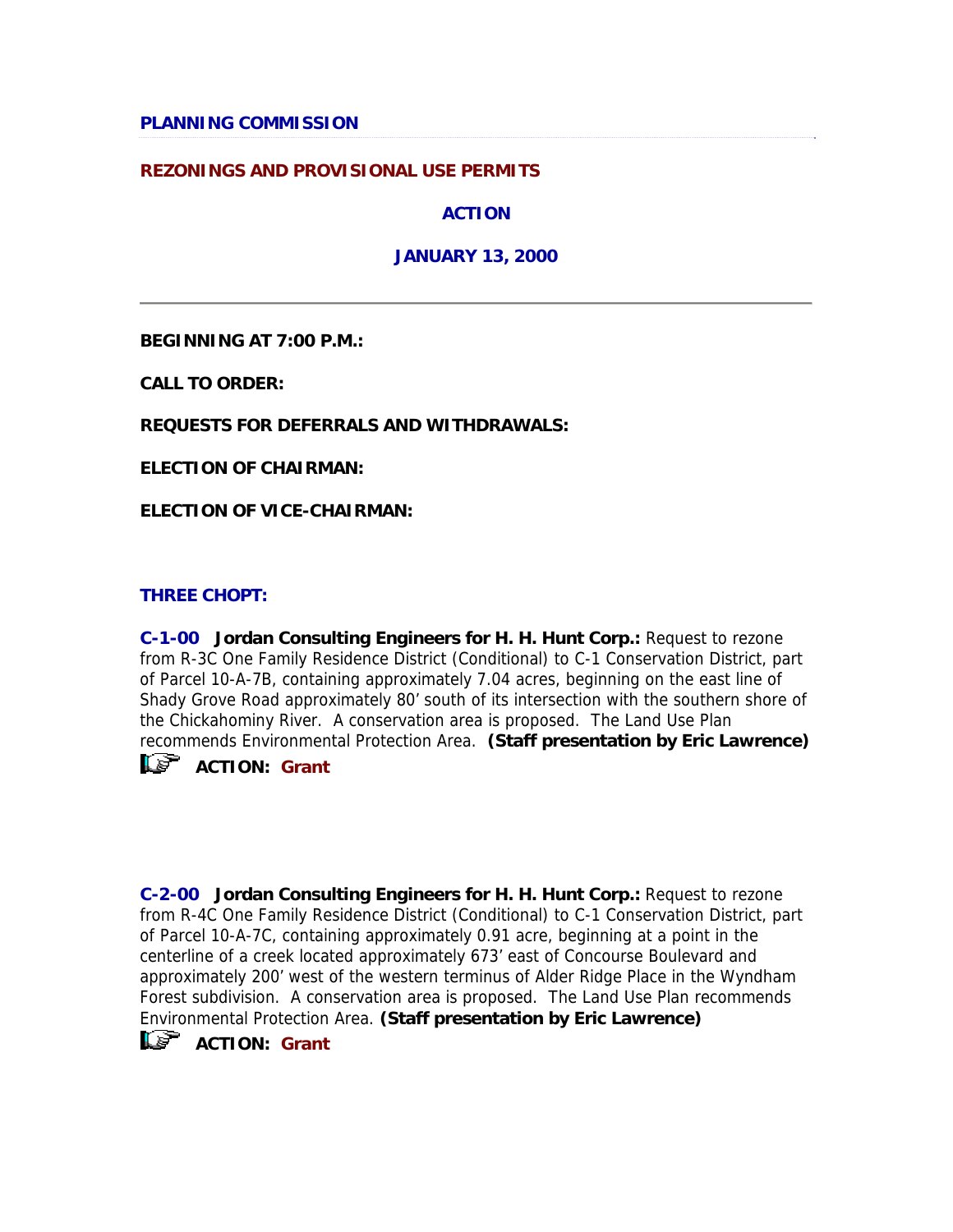#### **PLANNING COMMISSION**

#### **REZONINGS AND PROVISIONAL USE PERMITS**

**ACTION** 

**JANUARY 13, 2000** 

**BEGINNING AT 7:00 P.M.:**

**CALL TO ORDER:**

**REQUESTS FOR DEFERRALS AND WITHDRAWALS:**

**ELECTION OF CHAIRMAN:**

**ELECTION OF VICE-CHAIRMAN:**

#### **THREE CHOPT:**

**C-1-00 Jordan Consulting Engineers for H. H. Hunt Corp.:** Request to rezone from R-3C One Family Residence District (Conditional) to C-1 Conservation District, part of Parcel 10-A-7B, containing approximately 7.04 acres, beginning on the east line of Shady Grove Road approximately 80' south of its intersection with the southern shore of the Chickahominy River. A conservation area is proposed. The Land Use Plan recommends Environmental Protection Area. **(Staff presentation by Eric Lawrence)**

**ACTION:** Grant

**C-2-00 Jordan Consulting Engineers for H. H. Hunt Corp.:** Request to rezone from R-4C One Family Residence District (Conditional) to C-1 Conservation District, part of Parcel 10-A-7C, containing approximately 0.91 acre, beginning at a point in the centerline of a creek located approximately 673' east of Concourse Boulevard and approximately 200' west of the western terminus of Alder Ridge Place in the Wyndham Forest subdivision. A conservation area is proposed. The Land Use Plan recommends Environmental Protection Area. **(Staff presentation by Eric Lawrence)**

**ACTION:** Grant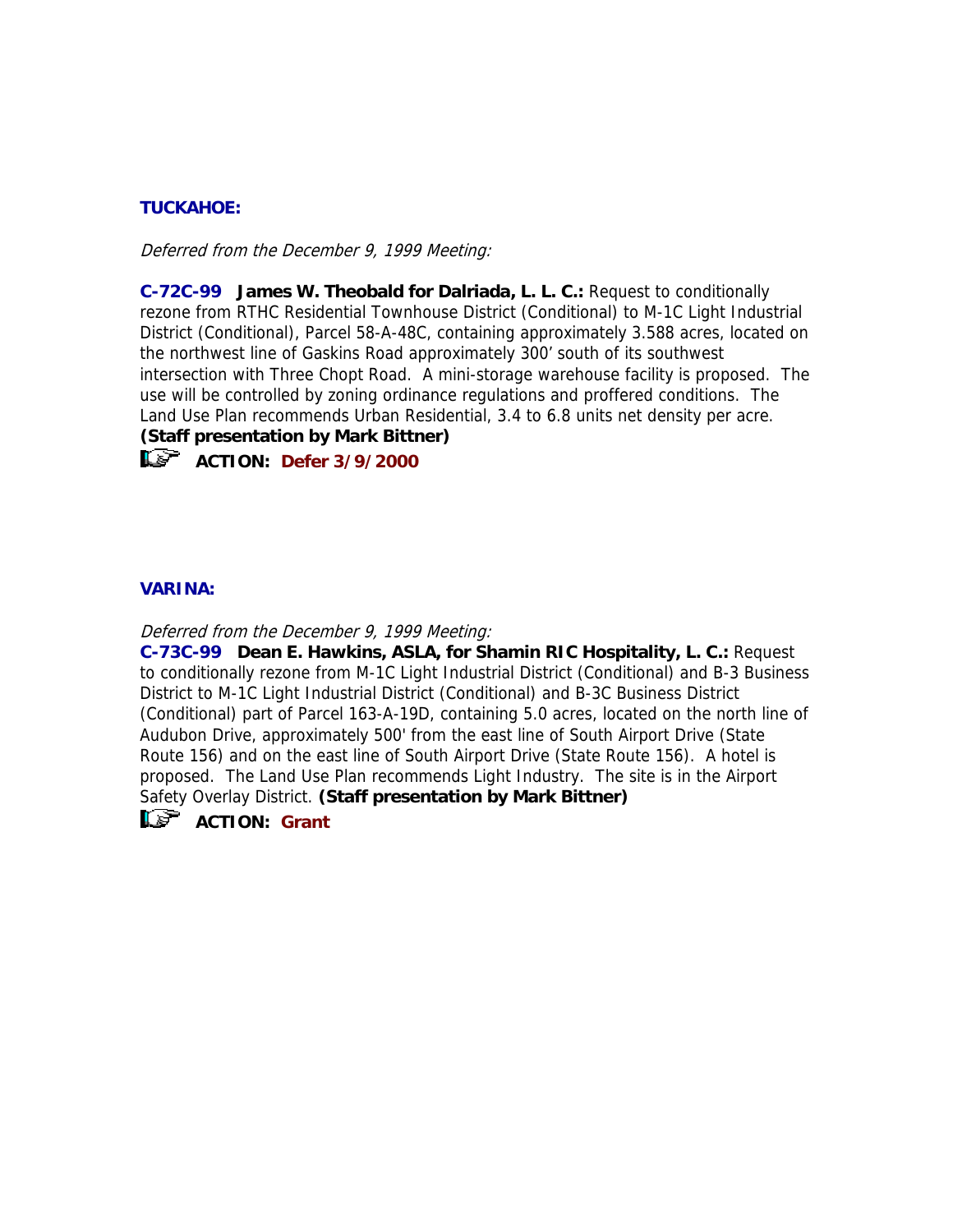## **TUCKAHOE:**

Deferred from the December 9, 1999 Meeting:

**C-72C-99 James W. Theobald for Dalriada, L. L. C.:** Request to conditionally rezone from RTHC Residential Townhouse District (Conditional) to M-1C Light Industrial District (Conditional), Parcel 58-A-48C, containing approximately 3.588 acres, located on the northwest line of Gaskins Road approximately 300' south of its southwest intersection with Three Chopt Road. A mini-storage warehouse facility is proposed. The use will be controlled by zoning ordinance regulations and proffered conditions. The Land Use Plan recommends Urban Residential, 3.4 to 6.8 units net density per acre.

## **(Staff presentation by Mark Bittner)**



**ACTION:** Defer 3/9/2000

### **VARINA:**

Deferred from the December 9, 1999 Meeting:

**C-73C-99 Dean E. Hawkins, ASLA, for Shamin RIC Hospitality, L. C.:** Request to conditionally rezone from M-1C Light Industrial District (Conditional) and B-3 Business District to M-1C Light Industrial District (Conditional) and B-3C Business District (Conditional) part of Parcel 163-A-19D, containing 5.0 acres, located on the north line of Audubon Drive, approximately 500' from the east line of South Airport Drive (State Route 156) and on the east line of South Airport Drive (State Route 156). A hotel is proposed. The Land Use Plan recommends Light Industry. The site is in the Airport Safety Overlay District. **(Staff presentation by Mark Bittner)**



**L<sup>S</sup>** ACTION: Grant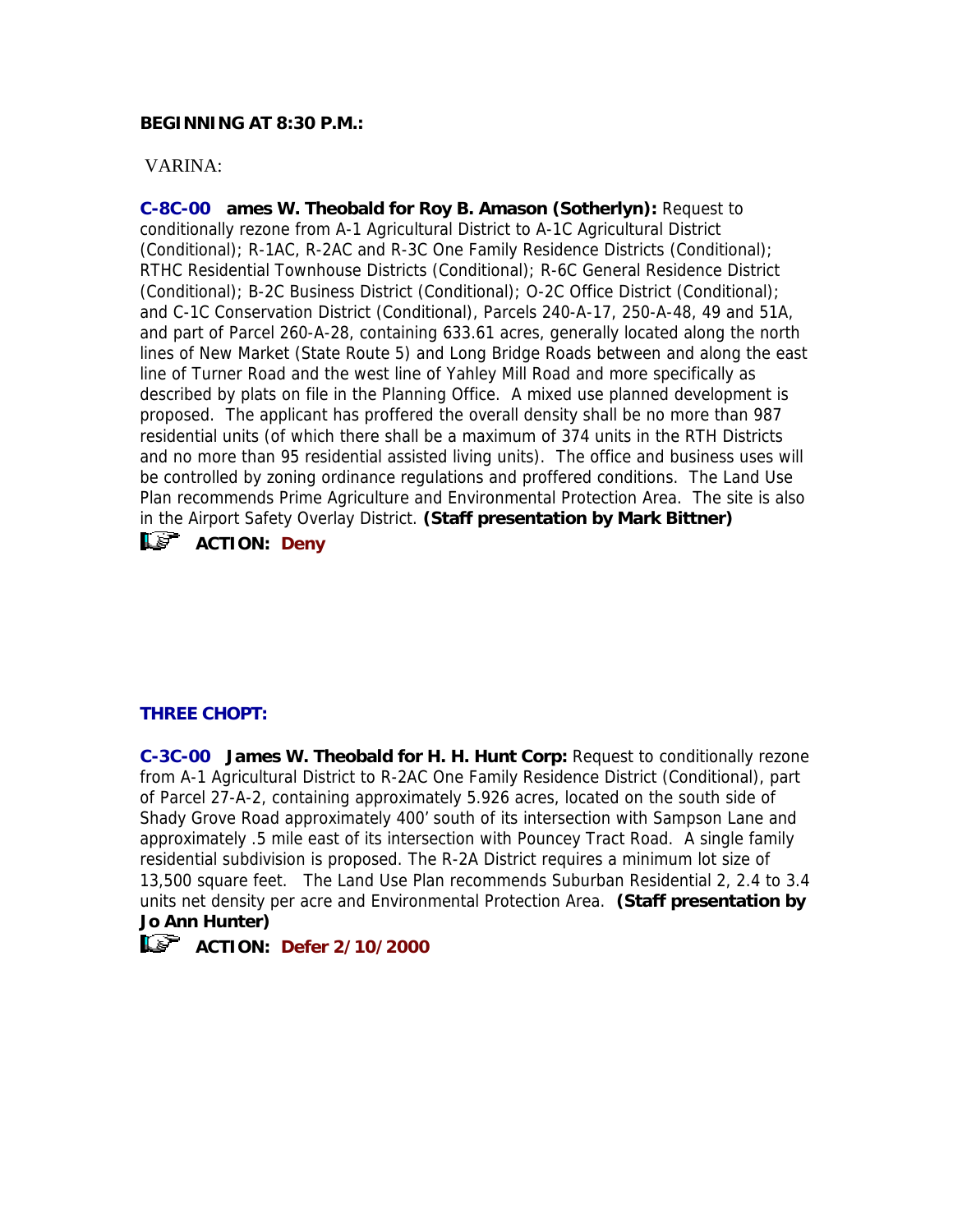### **BEGINNING AT 8:30 P.M.:**

### VARINA:

**C-8C-00 ames W. Theobald for Roy B. Amason (Sotherlyn):** Request to conditionally rezone from A-1 Agricultural District to A-1C Agricultural District (Conditional); R-1AC, R-2AC and R-3C One Family Residence Districts (Conditional); RTHC Residential Townhouse Districts (Conditional); R-6C General Residence District (Conditional); B-2C Business District (Conditional); O-2C Office District (Conditional); and C-1C Conservation District (Conditional), Parcels 240-A-17, 250-A-48, 49 and 51A, and part of Parcel 260-A-28, containing 633.61 acres, generally located along the north lines of New Market (State Route 5) and Long Bridge Roads between and along the east line of Turner Road and the west line of Yahley Mill Road and more specifically as described by plats on file in the Planning Office. A mixed use planned development is proposed. The applicant has proffered the overall density shall be no more than 987 residential units (of which there shall be a maximum of 374 units in the RTH Districts and no more than 95 residential assisted living units). The office and business uses will be controlled by zoning ordinance regulations and proffered conditions. The Land Use Plan recommends Prime Agriculture and Environmental Protection Area. The site is also in the Airport Safety Overlay District. **(Staff presentation by Mark Bittner) ACTION:** Deny

### **THREE CHOPT:**

**C-3C-00 James W. Theobald for H. H. Hunt Corp:** Request to conditionally rezone from A-1 Agricultural District to R-2AC One Family Residence District (Conditional), part of Parcel 27-A-2, containing approximately 5.926 acres, located on the south side of Shady Grove Road approximately 400' south of its intersection with Sampson Lane and approximately .5 mile east of its intersection with Pouncey Tract Road. A single family residential subdivision is proposed. The R-2A District requires a minimum lot size of 13,500 square feet. The Land Use Plan recommends Suburban Residential 2, 2.4 to 3.4 units net density per acre and Environmental Protection Area. **(Staff presentation by Jo Ann Hunter)**

## **ACTION: Defer 2/10/2000**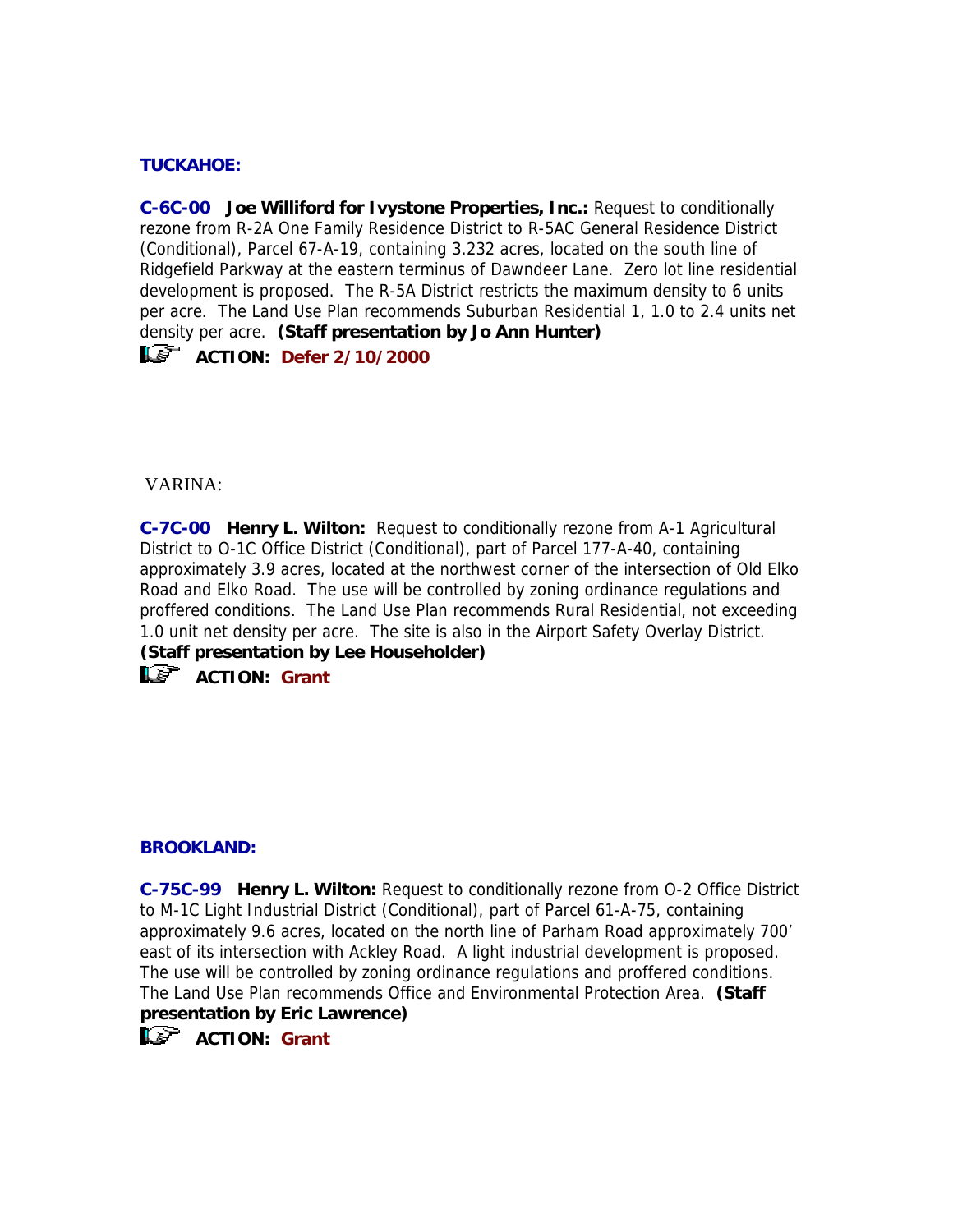## **TUCKAHOE:**

**C-6C-00 Joe Williford for Ivystone Properties, Inc.:** Request to conditionally rezone from R-2A One Family Residence District to R-5AC General Residence District (Conditional), Parcel 67-A-19, containing 3.232 acres, located on the south line of Ridgefield Parkway at the eastern terminus of Dawndeer Lane. Zero lot line residential development is proposed. The R-5A District restricts the maximum density to 6 units per acre. The Land Use Plan recommends Suburban Residential 1, 1.0 to 2.4 units net density per acre. **(Staff presentation by Jo Ann Hunter)**

## **ACTION: Defer 2/10/2000**

VARINA:

**C-7C-00 Henry L. Wilton:** Request to conditionally rezone from A-1 Agricultural District to O-1C Office District (Conditional), part of Parcel 177-A-40, containing approximately 3.9 acres, located at the northwest corner of the intersection of Old Elko Road and Elko Road. The use will be controlled by zoning ordinance regulations and proffered conditions. The Land Use Plan recommends Rural Residential, not exceeding 1.0 unit net density per acre. The site is also in the Airport Safety Overlay District. **(Staff presentation by Lee Householder) ACTION:** Grant

#### **BROOKLAND:**

**C-75C-99 Henry L. Wilton:** Request to conditionally rezone from O-2 Office District to M-1C Light Industrial District (Conditional), part of Parcel 61-A-75, containing approximately 9.6 acres, located on the north line of Parham Road approximately 700' east of its intersection with Ackley Road. A light industrial development is proposed. The use will be controlled by zoning ordinance regulations and proffered conditions. The Land Use Plan recommends Office and Environmental Protection Area. **(Staff presentation by Eric Lawrence)**

**ACTION:** Grant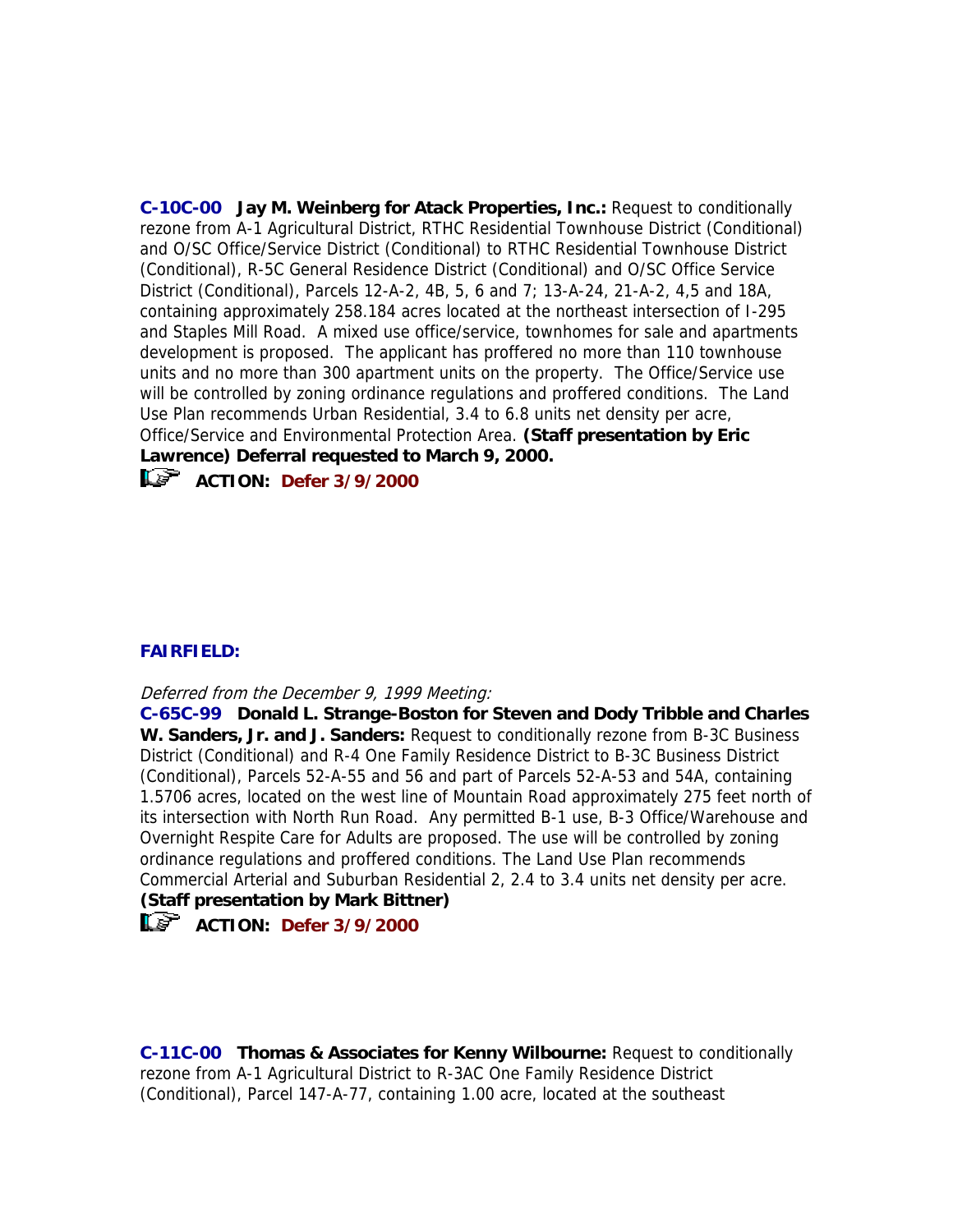**C-10C-00 Jay M. Weinberg for Atack Properties, Inc.:** Request to conditionally rezone from A-1 Agricultural District, RTHC Residential Townhouse District (Conditional) and O/SC Office/Service District (Conditional) to RTHC Residential Townhouse District (Conditional), R-5C General Residence District (Conditional) and O/SC Office Service District (Conditional), Parcels 12-A-2, 4B, 5, 6 and 7; 13-A-24, 21-A-2, 4,5 and 18A, containing approximately 258.184 acres located at the northeast intersection of I-295 and Staples Mill Road. A mixed use office/service, townhomes for sale and apartments development is proposed. The applicant has proffered no more than 110 townhouse units and no more than 300 apartment units on the property. The Office/Service use will be controlled by zoning ordinance regulations and proffered conditions. The Land Use Plan recommends Urban Residential, 3.4 to 6.8 units net density per acre, Office/Service and Environmental Protection Area. **(Staff presentation by Eric Lawrence) Deferral requested to March 9, 2000.**

**ACTION:** Defer 3/9/2000

### **FAIRFIELD:**

Deferred from the December 9, 1999 Meeting:

**C-65C-99 Donald L. Strange-Boston for Steven and Dody Tribble and Charles W. Sanders, Jr. and J. Sanders:** Request to conditionally rezone from B-3C Business District (Conditional) and R-4 One Family Residence District to B-3C Business District (Conditional), Parcels 52-A-55 and 56 and part of Parcels 52-A-53 and 54A, containing 1.5706 acres, located on the west line of Mountain Road approximately 275 feet north of its intersection with North Run Road. Any permitted B-1 use, B-3 Office/Warehouse and Overnight Respite Care for Adults are proposed. The use will be controlled by zoning ordinance regulations and proffered conditions. The Land Use Plan recommends Commercial Arterial and Suburban Residential 2, 2.4 to 3.4 units net density per acre.

# **(Staff presentation by Mark Bittner)**

# **ACTION: Defer 3/9/2000**

**C-11C-00 Thomas & Associates for Kenny Wilbourne:** Request to conditionally rezone from A-1 Agricultural District to R-3AC One Family Residence District (Conditional), Parcel 147-A-77, containing 1.00 acre, located at the southeast